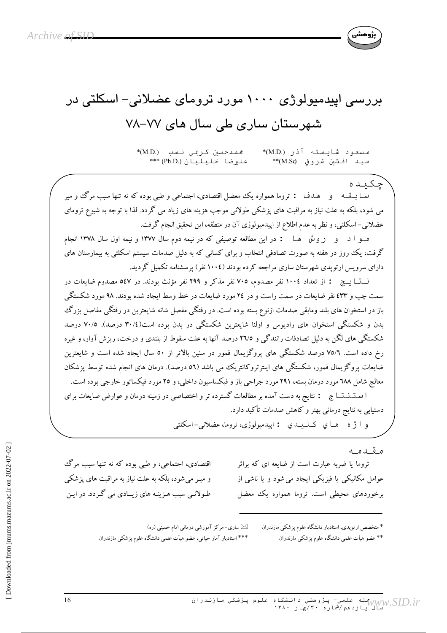

## بررسی ایپدمیولوژی ۱۰۰۰ مورد ترومای عضلانی– اسکلتی در شهرستان ساری طی سال های ۷۷–۷۸

مسعود شايسته آذر (M.D)\* \*(M.D.) نسب نسبه فريسه على ضلا خليليان (.Ph.D)\*\*\* سيد افشين شروفي (M.Sc\*\*

چکیده ســا بــقــه و هــدف : تروما همواره يك معضل اقتصادي، اجتماعي و طبي بوده كه نه تنها سبب مرگ و مير می شود، بلکه به علت نیاز به مراقبت های پزشکی طولانی موجب هزینه های زیاد می گردد. لذا با توجه به شیوع ترومای عضلانی– اسکلتی، و نظر به عدم اطلاع از اپیدمیولوژی آن در منطقه، این تحقیق انجام گرفت.

مـو ا د و روش هـا : در اين مطالعه توصيفي كه در نيمه دوم سال ١٣٧٧ ونيمه اول سال ١٣٧٨ انجام گرفت، یک روز در هفته به صورت تصادفی انتخاب و برای کسانی که به دلیل صدمات سیستم اسکلتی به بیمارستان های دارای سرویس ارتوپدی شهرستان ساری مراجعه کرده بودند (١٠٠٤ نفر) پرسشنامه تکمیل گردید.

نـــتـــا يـــج : از تعداد ١٠٠٤ نفر مصدوم، ٧٠٥ نفر مذكر و ٢٩٩ نفر مؤنث بودند. در ٥٤٧ مصدوم ضايعات در سمت چپ و ٤٣٣ نفر ضايعات در سمت راست و در ٢٤ مورد ضايعات در خط وسط ايجاد شده بودند. ٩٨ مورد شكستگي باز در استخوان های بلند ومابقی صدمات ازنوع بسته بوده است. در رفتگی مفصل شانه شایعترین در رفتگی مفاصل بزرگ بدن و شکستگی استخوان های رادیوس و اولنا شایعترین شکستگی در بدن بوده است(٣٠/٤ درصد). ٧٠/٥ درصد شکستگی های لگن به دلیل تصادفات رانندگی و ٢٦/٥ درصد آنها به علت سقوط از بلندی و درخت، ریزش آوار، و غیره رخ داده است. ٧٥/٦ درصد شکستگی های پروگزیمال فمور در سنین بالاتر از ٥٠ سال ایجاد شده است و شایعترین ضایعات یروگز پمال فمور، شکستگی های اینترتروکانتریک می باشد (٥٦ درصد). درمان های انجام شده توسط یزشکان معالج شامل ٦٨٨ مورد درمان بسته، ٢٩١ مورد جراحي باز و فيكساسيون داخلي، و ٢٥ مورد فيكساتور خارجي بوده است. ا ستـنـنـتــاج : نتايج به دست آمده بر مطالعات گسترده تر و اختصاصي در زمينه درمان و عوارض ضايعات براي دستیابی به نتایج درمانی بهتر و کاهش صدمات تأکید دارد.

و ا ژه های کیلیدی : ایپدمیولوژی، تروما، عضلانی-اسکلتی

مقىدمە

تروما یا ضربه عبارت است از ضایعه ای که براثر عوامل مکانیکی یا فیزیکی ایجاد می شود و یا ناشی از برخوردهای محیطی است. تروما همواره یک معضل

اقتصادی، اجتماعی، و طبی بوده که نه تنها سبب مرگ و میـر می شود، بلکه به علت نیاز به مراقبت های یزشکی طولانبی سبب هـزینـه های زیــادی می گـردد. در ایـن

> \* متخصص ارتویدی، استادیار دانشگاه علوم یزشکی مازندران \*\* عضو هیأت علمی دانشگاه علوم یزشکی مازندران

⊠ساری−مرکز آموزشی درمانی امام خمینی (ره) \*\*\* استادیار آمار حیاتبی، عضو هیأت علمی دانشگاه علوم پزشکی مازندران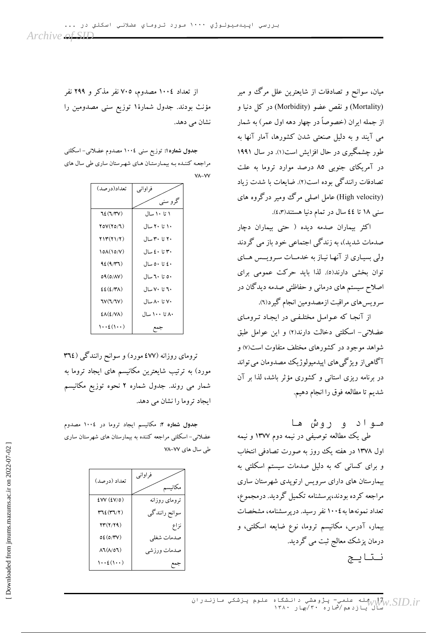میان، سوانح و تصادفات از شایعترین علل مرگ و میر (Mortality) و نقص عضو (Morbidity) در کل دنیا و از جمله ايران (خصوصاً در چهار دهه اول عمر) به شمار می آیند و به دلیل صنعتی شدن کشورها، آمار آنها به طور چشمگیری در حال افزایش است(۱). در سال ۱۹۹۱ در آمریکای جنوبی ۸۵ درصد موارد تروما به علت تصادفات رانندگی بوده است(۲). ضایعات با شدت زیاد (High velocity) عامل اصلی مرگ ومیر درگروه های سنی ۱۸ تا ٤٤ سال در تمام دنیا هستند(۴، ٤).

اکثر بیماران صدمه دیده ( حتی بیماران دچار صدمات شدید)، به زندگی اجتماعی خود باز می گردند ولی بسیاری از آنها نیاز به خدمـات سـرویــس هــای توان بخشی دارند(٥). لذا باید حرکت عمومی برای اصلاح سیستم های درمانبی و حفاظتی صدمه دیدگان در سرويس.هاي مراقبت ازمصدومين انجام گيرد(٦).

از آنجا که عـوامـل مختلـفـی در ایجـاد تـرومـای عضلانی- اسکلتی دخالت دارند(۲) و این عوامل طبق شواهد موجود در کشورهای مختلف متفاوت است(۷) و آگاهی|ز ویژگی۵های اپیدمیولوژیک مصدومان می تواند در برنامه ریزی استانی و کشوری مؤثر باشد، لذا بر آن شديم تا مطالعه فوق را انجام دهيم.

مـواد و روش ها طی یک مطالعه توصیفی در نیمه دوم ۱۳۷۷ و نیمه اول ۱۳۷۸ در هفته یک روز به صورت تصادفی انتخاب و برای کسانی که به دلیل صدمات سیستم اسکلتی به بیمارستان های دارای سرویس ارتویدی شهرستان ساری مراجعه كرده بودند،پرسشنامه تكميل گرديد. درمجموع، تعداد نمونهها به ١٠٠٤ نفر رسيد. درپرسشنامه، مشخصات بیمار، آدرس، مکانیسم تروما، نوع ضایعه اسکلتی، و درمان پزشک معالج ثبت می گردید. نتايج

از تعداد ١٠٠٤ مصدوم، ٧٠٥ نفر مذكر و ٢٩٩ نفر مؤنث بودند. جدول شمارهٔ۱ توزیع سنی مصدومین را نشان می دهد.

جدول شماره۱: توزیع سنی ۱۰۰٤ مصدوم عضلانی– اسکلتی مراجعه کننـده بـه بیمـارستـان هـای شهـرستان ساری طی سال های  $V$  $A - VV$ 

| تعداد(در صد)                                | فراواني       |
|---------------------------------------------|---------------|
|                                             | گرو سنبي      |
| 72(T/Y)                                     | ۱ تا ۱۰ سال   |
| $\Upsilon$ $\Upsilon$ $\Upsilon$ $\Upsilon$ | ۱۰ تا ۲۰ سال  |
| <u>713(71/7)</u>                            | ۲۰ تا ۳۰ سال  |
| 10A(10/V)                                   | ۳۰ تا ٤٠ سال  |
| 42(4/T1)                                    | ٤٠ تا ٥٠ سال  |
| 09(0/AV)                                    | ٥٠ تا ٦٠ سال  |
| $E(E/Y\Lambda)$                             | ۲۰ تا ۷۰ سال  |
| TV(T/TV)                                    | ۷۰ تا ۸۰ سال  |
| $E\Lambda(E/VA)$                            | ۸۰ تا ۱۰۰ سال |
| $\cdots$ ٤ $(\cdots)$                       |               |

ترومای روزانه (٤٧٧ مورد) و سوانح رانندگی (٣٦٤ مورد) به ترتیب شایعترین مکانیسم های ایجاد تروما به شمار می روند. جدول شماره ۲ نحوه توزیع مکانیسم ابجاد تروما را نشان می دهد.

جدول شماره ۲: مکانیسم ایجاد تروما در ۱۰۰٤ مصدوم عضلانی-اسکلتی مراجعه کننده به بیمارستان های شهرستان ساری طی سال های ۷۷–۷۸

| تعداد (درصد)                                                      | فراوانبي<br>مكانيسم |
|-------------------------------------------------------------------|---------------------|
| EVV(EV/O)                                                         | ترومای روزانه       |
| $\mathsf{r}\mathsf{u}\mathsf{f}(\mathsf{r}\mathsf{u}/\mathsf{r})$ | سوانح رانندگی       |
| 23(2/29)                                                          | نزاع                |
| 0E(0/TV)                                                          | صدمات شغلي          |
| $\Lambda$ J $(\Lambda/\rho$ J $)$                                 | صدمات ورزشي         |
| $\cdots$ ٤ $( \cdots )$                                           |                     |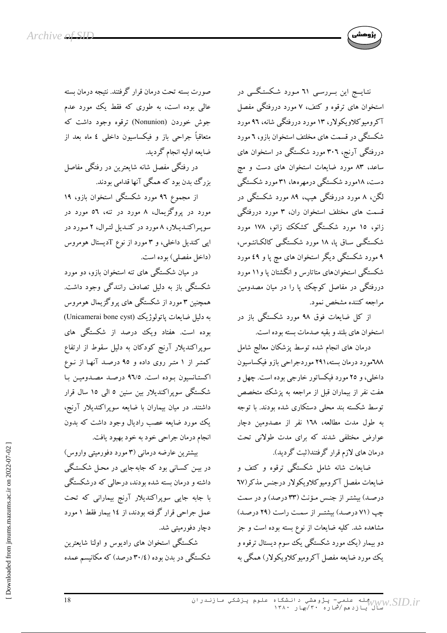

نتـايـــج اين بـــررســي ٦١ مـورد شـكستـگـــي در استخوان های ترقوه و کتف، ۷ مورد دررفتگی مفصل آکرومیوکلاویکولار، ۱۳ مورد دررفتگی شانه، ۹۲ مورد شکستگی در قسمت های مخلتف استخوان بازو، ٦ مورد دررفتگی آرنج، ۳۰٦ مورد شکستگی در استخوان های ساعد، ۸۳ مورد ضایعات استخوان های دست و مچ دست، ۱۸مورد شکستگی درمهرهها، ۳۱مورد شکستگی لگن، ۸ مورد دررفتگی هیپ، ۸۹ مورد شکستگی در <sub>.</sub><br>قسمت های مختلف استخوان ران، ۳ مورد دررفتگی زانو، ۱۵ مورد شکستگی کشکک زانو، ۱۷۸ مورد شکستگی سـاق یا، ۱۸ مورد شکستگـی کالکـانئـوس، ۹ مورد شکستگی دیگر استخوان های مچ پا و ٤٩ مورد شکستگی استخوانهای متاتارس و انگشتان پا و۱۱ مورد دررفتگی در مفاصل کوچک یا را در میان مصدومین مراجعه كننده مشخص نمود.

از کل ضایعات فوق ۹۸ مورد شکستگی باز در استخوان های بلند و بقیه صدمات بسته بوده است.

درمان های انجام شده توسط پزشکان معالج شامل ٦٨٨مورد درمان بسته،٢٩١ موردجراحي بازو فيكساسيون داخلې، و ۲۵ مورد فيکساتور خارجې بوده است. چهل و هفت نفر از بیماران قبل از مراجعه به پزشک متخصص توسط شکسته بند محلی دستکاری شده بودند. با توجه به طول مدت مطالعه، ١٦٨ نفر از مصدومین دچار عوارض مختلفی شدند که برای مدت طولانی تحت درمان های لازم قرار گرفتند(ثبت گردید).

.<br>ضایعات شانه شامل شکستگی ترقوه و کتف و ضايعات مفصل آكروميوكلاويكولار درجنس مذكر (٦٧ درصـد) بیشتـر از جنـس مـؤنث (۳۳ درصد) و در سمت چپ (۷۱ درصد) بیشتـر از سمت راست (۲۹ درصد) مشاهده شد. کلیه ضایعات از نوع بسته بوده است و جز دو بیمار (یک مورد شکستگی یک سوم دیستال ترقوه و يک مورد ضايعه مفصل آکروميوکلاويکولار) همگې به

صورت بسته تحت درمان قرار گرفتند. نتیجه درمان بسته عالی بوده است، به طوری که فقط یک مورد عدم جوش خوردن (Nonunion) ترقوه وجود داشت که متعاقباً جراحی باز و فیکساسیون داخلی ٤ ماه بعد از ضايعه اوليه انجام گرديد.

در رفتگی مفصل شانه شایعترین در رفتگی مفاصل بزرگ بدن بود که همگی آنها قدامی بودند.

از مجموع ۹۲ مورد شکستگی استخوان بازو، ۱۹ مورد در پروگزیمال، ۸ مورد در تنه، ۵۶ مورد در سوپراکندیلار، ۸ مورد در کندیل لترال، ۲ مورد در اپی کندیل داخلی، و ۳ مورد از نوع Tدیستال هومروس (داخل مفصلي) بوده است.

در میان شکستگی های تنه استخوان بازو، دو مورد شکستگی باز به دلیل تصادف رانندگی وجود داشت. همچنین ۳ مورد از شکستگی های پروگزیمال هومروس به دلیل ضایعات پاتولوژیک (Unicamerai bone cyst) بوده است. هفتاد ویک درصد از شکستگی های سوپراکندیلار آرنج کودکان به دلیل سقوط از ارتفاع کمتر از ۱ متر روی داده و ۹۵ درصد آنها از نـوع اكستـانسيون بـوده است. ٩٦/٥ درصـد مصـدوميـن بـا شکستگی سوپراکندیلار بین سنین ٥ البی ١٥ سال قرار داشتند. در میان بیماران با ضایعه سوپراکندیلار آرنج، یک مورد ضایعه عصب رادیال وجود داشت که بدون انجام درمان جراحی خود به خود بهبود یافت.

بیشترین عارضه درمانی (۳ مورد دفورمیتی واروس) در بیـن کسـانی بود که جابهجایی در محـل شکستـگی داشته و درمان بسته شده بودند، درحالبی که درشکستگی با جابه جایی سوپراکندیلار آرنج بیمارانی که تحت عمل جراحی قرار گرفته بودند، از ۱٤ بیمار فقط ١ مورد دچار دفورمیتی شد.

شکستگی استخوان های رادیوس و اولنا شایعترین شکستگی در بدن بوده (۳۰/٤ درصد) که مکانیسم عمده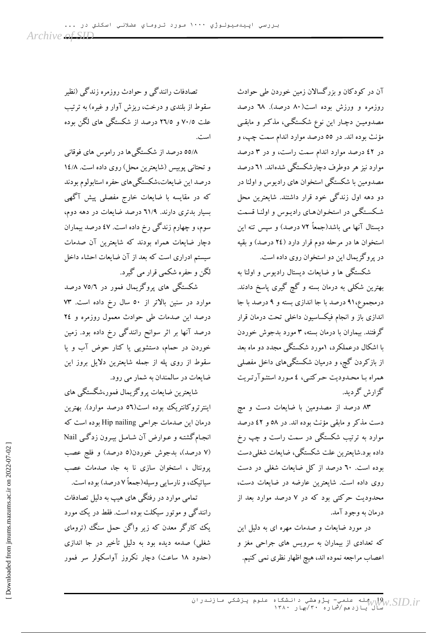آن در کودکان و بزرگسالان زمین خوردن طی حوادث روزمره و ورزش بوده است(۸۰ درصد). ٦٨ درصد مصدومیـن دچـار این نوع شکستگـی، مذکـر و مابقـی مؤنث بوده اند. در ٥٥ درصد موارد اندام سمت چپ، و در ٤٢ درصد موارد اندام سمت راست، و در ٣ درصد موارد نیز هر دوطرف دچارشکستگی شدهاند. ۲۱ درصد مصدومین با شکستگی استخوان های رادیوس و اولنا در دو دهه اول زندگی خود قرار داشتند. شایعترین محل شکستگی در استخوانهای رادیـوس و اولنـا قسمت دیستال آنها می باشد(جمعاً ۷۲ درصد) و سپس تنه این استخوان ها در مرحله دوم قرار دارد (٢٤ درصد) و بقيه در پروگزیمال این دو استخوان روی داده است.

شکستگی ها و ضایعات دیستال رادیوس و اولنا به بهترین شکلی به درمان بسته و گچ گیری پاسخ دادند. درمجموع،۹۱ درصد با جا اندازی بسته و ۹ درصد با جا اندازی باز و انجام فیکساسیون داخلی تحت درمان قرار گرفتند. بیماران با درمان بسته، ۳ مورد بدجوش خوردن با اشکال درعملکرد، ۱مورد شکستگی مجدد دو ماه بعد از بازکردن گچ، و درمیان شکستگیهای داخل مفصلی همراه با محبدودیت جرکتبی، ٤ مورد استئو آرتیریت گزارش گردىد.

۸۳ درصد از مصدومین با ضایعات دست و مچ دست مذکر و مابقی مؤنث بوده اند. در ٥٨ و ٤٢ درصد موارد به ترتیب شکستگی در سمت راست و چپ رخ داده بود.شایعترین علت شکستگی، ضایعات شغلی دست بوده است. ٦٠ درصد از کل ضایعات شغلی در دست روی داده است. شایعترین عارضه در ضایعات دست، محدودیت حرکتی بود که در ۷ درصد موارد بعد از درمان به وجود آمد.

در مورد ضایعات و صدمات مهره ای به دلیل این که تعدادی از بیماران به سرویس های جراحی مغز و اعصاب مراجعه نموده اند، هیچ اظهار نظری نمی کنیم.

تصادفات رانندگی و حوادث روزمره زندگی (نظیر سقوط از بلندی و درخت، ریزش آوار و غیره) به ترتیب علت ۷۰/۵ و ۲٦/۵ درصد از شکستگی های لگن بوده است.

٥٥/٨ درصد از شکستگی ها در راموس های فوقانی و تحتانی پوییس (شایعترین محل) روی داده است. ۱٤/۸ درصد این ضایعات،شکستگی های حفره استابولوم بودند که در مقایسه با ضایعات خارج مفصلی پیش آگهی بسیار بدتری دارند. ٦١/٩ درصد ضایعات در دهه دوم، سوم، و چهارم زندگی رخ داده است. ٤٧ درصد بیماران دچار ضایعات همراه بودند که شایعترین آن صدمات سیستم ادراری است که بعد از آن ضایعات احشاء داخل لگن و حفره شکمی قرار می گیرد.

شکستگی های یروگزیمال فمور در ۷۵/٦ درصد موارد در سنین بالاتر از ۵۰ سال رخ داده است. ۷۳ درصد این صدمات طی حوادث معمول روزمره و ٢٤ درصد آنها بر اثر سوانح رانندگی رخ داده بود. زمین خوردن در حمام، دستشویی یا کنار حوض آب و یا سقوط از روى پله از جمله شايعترين دلايل بروز اين ضابعات در سالمندان به شمار می رود.

شايعترين ضايعات پروگزيمال فمور،شگستگي هاي اینترتروکانتریک بوده است(٥٦ درصد موارد). بهترین درمان این صدمات جراحی Hip nailing بوده است که انجام گشته و عـوارض آن شـامـل بيـرون زدگـي Nail (٧ درصد)، بدجوش خوردن(٥ درصد) و فلج عصب پرونئال ، استخوان سازی نا به جا، صدمات عصب سیاتیک، و نارسایی وسیله(جمعاً ۷ درصد) بوده است.

تمامی موارد در رفتگی های هیپ به دلیل تصادفات رانندگی و موتور سیکلت بوده است. فقط در یک مورد یک کارگر معدن که زیر واگن حمل سنگ (ترومای شغلی) صدمه دیده بود به دلیل تأخیر در جا اندازی (حدود ۱۸ ساعت) دچار نکروز آواسکولر سر فمور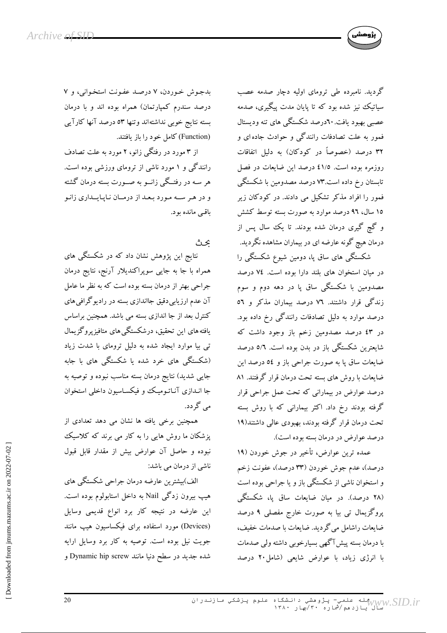

گردید. نامبرده طی ترومای اولیه دچار صدمه عصب سیاتیک نیز شده بود که تا پایان مدت پیگیری، صدمه عصبی بهبود یافت. ۲۰درصد شکستگی های تنه ودیستال فمور به علت تصادفات رانندگی و حوادث جاده ای و ۳۲ درصد (خصوصاً در کودکان) به دلیل اتفاقات روزمره بوده است. ٤١/٥ درصد اين ضايعات در فصل تابستان رخ داده است.۷۳ درصد مصدومین با شکستگی فمور را افراد مذکر تشکیل می دادند. در کودکان زیر ۱۵ سال، ۹۲ درصد موارد به صورت بسته توسط کشش و گچ گیری درمان شده بودند. تا یک سال پس از درمان هیچ گونه عارضه ای در بیماران مشاهده نگردید. شکستگی های ساق پا، دومین شیوع شکستگی را

در میان استخوان های بلند دارا بوده است. ٧٤ درصد مصدومین با شکستگی ساق یا در دهه دوم و سوم زندگی قرار داشتند. ۷۲ درصد بیماران مذکر و ٥٦ درصد موارد به دلیل تصادفات رانندگی رخ داده بود. در ٤٣ درصد مصدومين زخم باز وجود داشت كه شایعترین شکستگی باز در بدن بوده است. ٥/٦ درصد ضایعات ساق پا به صورت جراحی باز و ٥٤ درصد این ضایعات با روش های بسته تحت درمان قرار گرفتند. ۸۱ درصد عوارض در بیمارانی که تحت عمل جراحی قرار گرفته بودند رخ داد. اکثر بیمارانی که با روش بسته تحت درمان قرار گرفته بودند، بهبودی عالی داشتند(۱۹ درصد عوارض در درمان بسته بوده است).

عمده ترین عوارض، تأخیر در جوش خوردن (۱۹ درصد)، عدم جوش خوردن (۳۳ درصد)، عفونت زخم و استخوان ناشی از شکستگی باز و یا جراحی بوده است (۲۸ درصد). در میان ضایعات ساق یا، شکستگی پروگزیمال تی بیا به صورت خارج مفصلی ۹ درصد ضایعات راشامل میگردید. ضایعات با صدمات خفیف، با درمان بسته پیش آگهی بسیارخوبی داشته ولی صدمات با انرژی زیاد، با عوارض شایعی (شامل۲۰ درصد

بدجوش خوردن، ۷ درصد عفونت استخوانی، و ۷ درصد سندرم کمپارتمان) همراه بوده اند و با درمان بسته نتايج خوبي نداشتهاند وتنها ٥٣ درصد آنها كارآيي (Function) كامل خود را باز يافتند.

از ۳ مورد در رفتگی زانو، ۲ مورد به علت تصادف رانندگی و ۱ مورد ناشی از ترومای ورزشی بوده است. هر سـه در رفتــگی زانــو به صــورت بسته درمان گشته و در هر سـه مورد بـعـد از درمـان نـاپـايــداري زانـو باقے ماندہ بود.

ىحت

نتایج این پژوهش نشان داد که در شکستگی های همراه با جا به جایبی سوپراکندیلار آرنج، نتایج درمان جراحی بهتر از درمان بسته بوده است که به نظر ما عامل آن عدم ارزیابی دقیق جااندازی بسته در رادیوگرافی های کنترل بعد از جا اندازی بسته می باشد. همچنین براساس یافته های این تحقیق، درشکستگی های متافیزپروگزیمال تی بیا موارد ایجاد شده به دلیل ترومای با شدت زیاد (شکستگی های خرد شده یا شکستگی های با جابه جایی شدید) نتایج درمان بسته مناسب نبوده و توصیه به جا انـدازی آنـاتـومیـک وو فیکسـاسیون داخلی استخوان می گر دد.

همچنین برخی یافته ها نشان می دهد تعدادی از یزشکان ما روش هایی را به کار می برند که کلاسیک نبوده وحاصل آن عوارض بيش از مقدار قابل قبول ناشی از درمان می باشد:

الف)بیشترین عارضه درمان جراحی شکستگی های هیپ بیرون زدگی Nail به داخل استابولوم بوده است. این عارضه در نتیجه کار برد انواع قدیمی وسایل (Devices) مورد استفاده برای فیکساسیون هیپ مانند جویت نیل بوده است. توصیه به کار برد وسایل ارایه شده جدید در سطح دنیا مانند Dynamic hip screw و